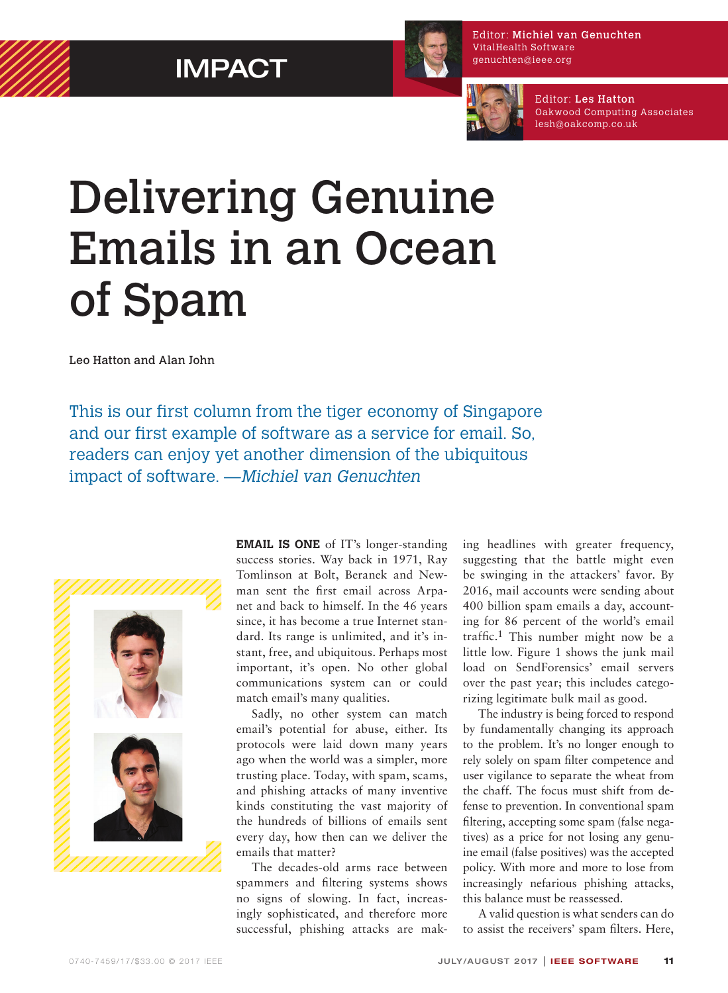

Editor: Michiel van Genuchten VitalHealth Software genuchten@ieee.org



Editor: Les Hatton Oakwood Computing Associates lesh@oakcomp.co.uk

# Delivering Genuine Emails in an Ocean of Spam

Leo Hatton and Alan John

This is our first column from the tiger economy of Singapore and our first example of software as a service for email. So, readers can enjoy yet another dimension of the ubiquitous impact of software. —Michiel van Genuchten



**EMAIL IS ONE** of IT's longer-standing success stories. Way back in 1971, Ray Tomlinson at Bolt, Beranek and Newman sent the first email across Arpanet and back to himself. In the 46 years since, it has become a true Internet standard. Its range is unlimited, and it's instant, free, and ubiquitous. Perhaps most important, it's open. No other global communications system can or could match email's many qualities.

Sadly, no other system can match email's potential for abuse, either. Its protocols were laid down many years ago when the world was a simpler, more trusting place. Today, with spam, scams, and phishing attacks of many inventive kinds constituting the vast majority of the hundreds of billions of emails sent every day, how then can we deliver the emails that matter?

The decades-old arms race between spammers and filtering systems shows no signs of slowing. In fact, increasingly sophisticated, and therefore more successful, phishing attacks are making headlines with greater frequency, suggesting that the battle might even be swinging in the attackers' favor. By 2016, mail accounts were sending about 400 billion spam emails a day, accounting for 86 percent of the world's email traffic.<sup>1</sup> This number might now be a little low. Figure 1 shows the junk mail load on SendForensics' email servers over the past year; this includes categorizing legitimate bulk mail as good.

The industry is being forced to respond by fundamentally changing its approach to the problem. It's no longer enough to rely solely on spam filter competence and user vigilance to separate the wheat from the chaff. The focus must shift from defense to prevention. In conventional spam filtering, accepting some spam (false negatives) as a price for not losing any genuine email (false positives) was the accepted policy. With more and more to lose from increasingly nefarious phishing attacks, this balance must be reassessed.

A valid question is what senders can do to assist the receivers' spam filters. Here,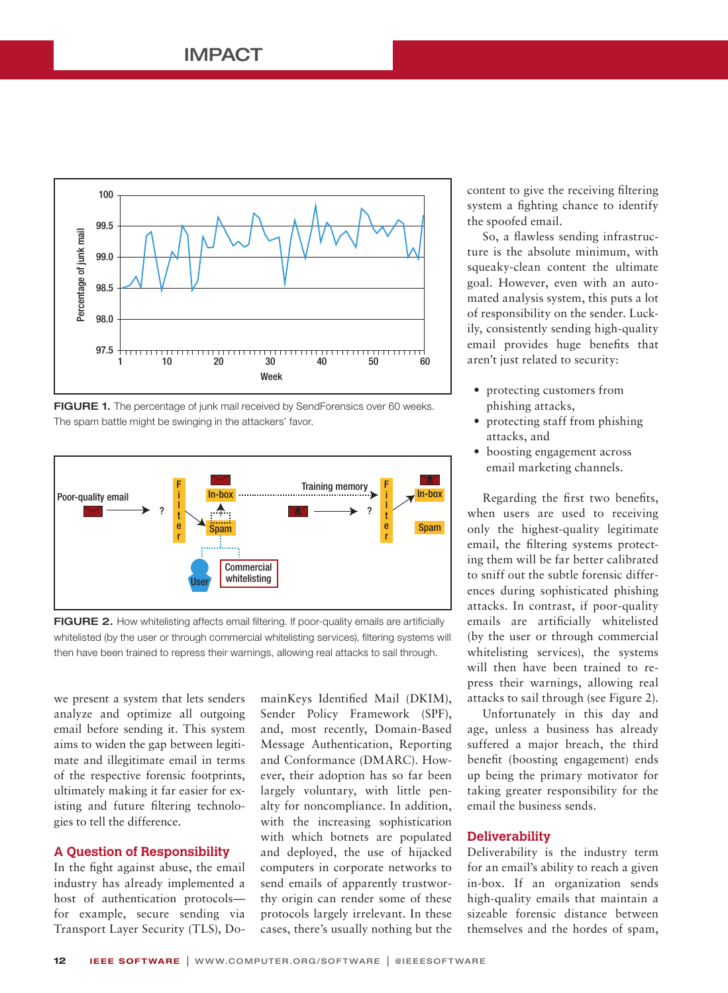

FIGURE 1. The percentage of junk mail received by SendForensics over 60 weeks. The spam battle might be swinging in the attackers' favor.



FIGURE 2. How whitelisting affects email filtering. If poor-quality emails are artificially whitelisted (by the user or through commercial whitelisting services), filtering systems will then have been trained to repress their warnings, allowing real attacks to sail through.

we present a system that lets senders analyze and optimize all outgoing email before sending it. This system aims to widen the gap between legitimate and illegitimate email in terms of the respective forensic footprints, ultimately making it far easier for existing and future filtering technologies to tell the difference.

#### **A Question of Responsibility**

In the fight against abuse, the email industry has already implemented a host of authentication protocols for example, secure sending via Transport Layer Security (TLS), DomainKeys Identified Mail (DKIM), Sender Policy Framework (SPF), and, most recently, Domain-Based Message Authentication, Reporting and Conformance (DMARC). However, their adoption has so far been largely voluntary, with little penalty for noncompliance. In addition, with the increasing sophistication with which botnets are populated and deployed, the use of hijacked computers in corporate networks to send emails of apparently trustworthy origin can render some of these protocols largely irrelevant. In these cases, there's usually nothing but the

content to give the receiving filtering system a fighting chance to identify the spoofed email.

So, a flawless sending infrastructure is the absolute minimum, with squeaky-clean content the ultimate goal. However, even with an automated analysis system, this puts a lot of responsibility on the sender. Luckily, consistently sending high-quality email provides huge benefits that aren't just related to security:

- protecting customers from phishing attacks,
- protecting staff from phishing attacks, and
- boosting engagement across email marketing channels.

Regarding the first two benefits, when users are used to receiving only the highest-quality legitimate email, the filtering systems protecting them will be far better calibrated to sniff out the subtle forensic differences during sophisticated phishing attacks. In contrast, if poor-quality emails are artificially whitelisted (by the user or through commercial whitelisting services), the systems will then have been trained to repress their warnings, allowing real attacks to sail through (see Figure 2).

Unfortunately in this day and age, unless a business has already suffered a major breach, the third benefit (boosting engagement) ends up being the primary motivator for taking greater responsibility for the email the business sends.

#### **Deliverability**

Deliverability is the industry term for an email's ability to reach a given in-box. If an organization sends high-quality emails that maintain a sizeable forensic distance between themselves and the hordes of spam,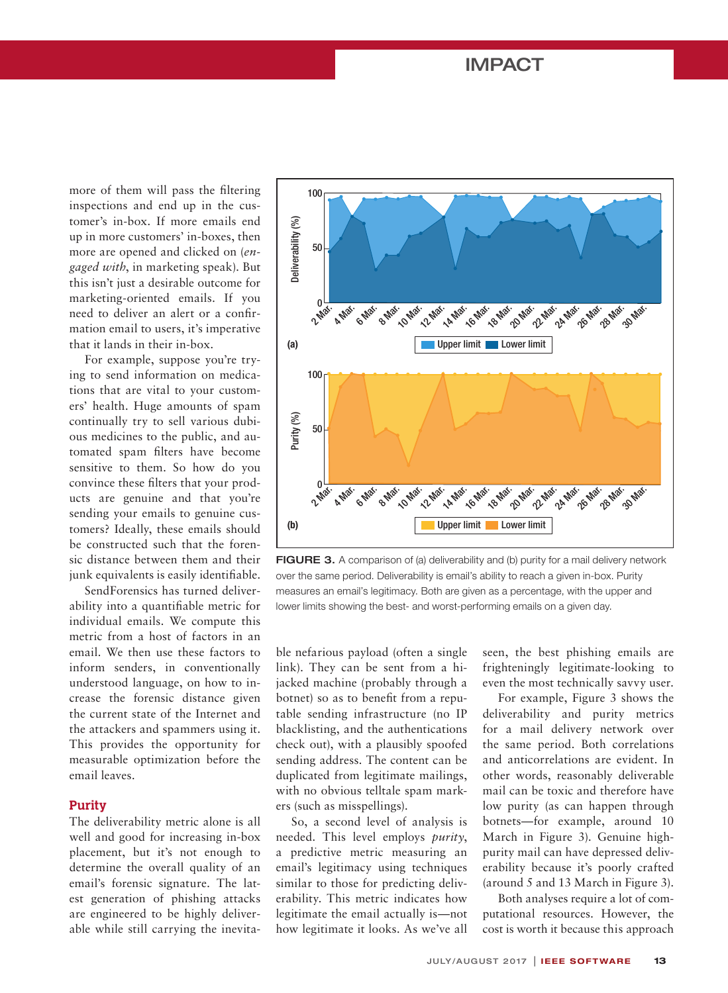### IMPACT

more of them will pass the filtering inspections and end up in the customer's in-box. If more emails end up in more customers' in-boxes, then more are opened and clicked on (*engaged with*, in marketing speak). But this isn't just a desirable outcome for marketing-oriented emails. If you need to deliver an alert or a confirmation email to users, it's imperative that it lands in their in-box.

For example, suppose you're trying to send information on medications that are vital to your customers' health. Huge amounts of spam continually try to sell various dubious medicines to the public, and automated spam filters have become sensitive to them. So how do you convince these filters that your products are genuine and that you're sending your emails to genuine customers? Ideally, these emails should be constructed such that the forensic distance between them and their junk equivalents is easily identifiable.

SendForensics has turned deliverability into a quantifiable metric for individual emails. We compute this metric from a host of factors in an email. We then use these factors to inform senders, in conventionally understood language, on how to increase the forensic distance given the current state of the Internet and the attackers and spammers using it. This provides the opportunity for measurable optimization before the email leaves.

#### **Purity**

The deliverability metric alone is all well and good for increasing in-box placement, but it's not enough to determine the overall quality of an email's forensic signature. The latest generation of phishing attacks are engineered to be highly deliverable while still carrying the inevita-



FIGURE 3. A comparison of (a) deliverability and (b) purity for a mail delivery network over the same period. Deliverability is email's ability to reach a given in-box. Purity measures an email's legitimacy. Both are given as a percentage, with the upper and lower limits showing the best- and worst-performing emails on a given day.

ble nefarious payload (often a single link). They can be sent from a hijacked machine (probably through a botnet) so as to benefit from a reputable sending infrastructure (no IP blacklisting, and the authentications check out), with a plausibly spoofed sending address. The content can be duplicated from legitimate mailings, with no obvious telltale spam markers (such as misspellings).

So, a second level of analysis is needed. This level employs *purity*, a predictive metric measuring an email's legitimacy using techniques similar to those for predicting deliverability. This metric indicates how legitimate the email actually is—not how legitimate it looks. As we've all seen, the best phishing emails are frighteningly legitimate-looking to even the most technically savvy user.

For example, Figure 3 shows the deliverability and purity metrics for a mail delivery network over the same period. Both correlations and anticorrelations are evident. In other words, reasonably deliverable mail can be toxic and therefore have low purity (as can happen through botnets—for example, around 10 March in Figure 3). Genuine highpurity mail can have depressed deliverability because it's poorly crafted (around 5 and 13 March in Figure 3).

Both analyses require a lot of computational resources. However, the cost is worth it because this approach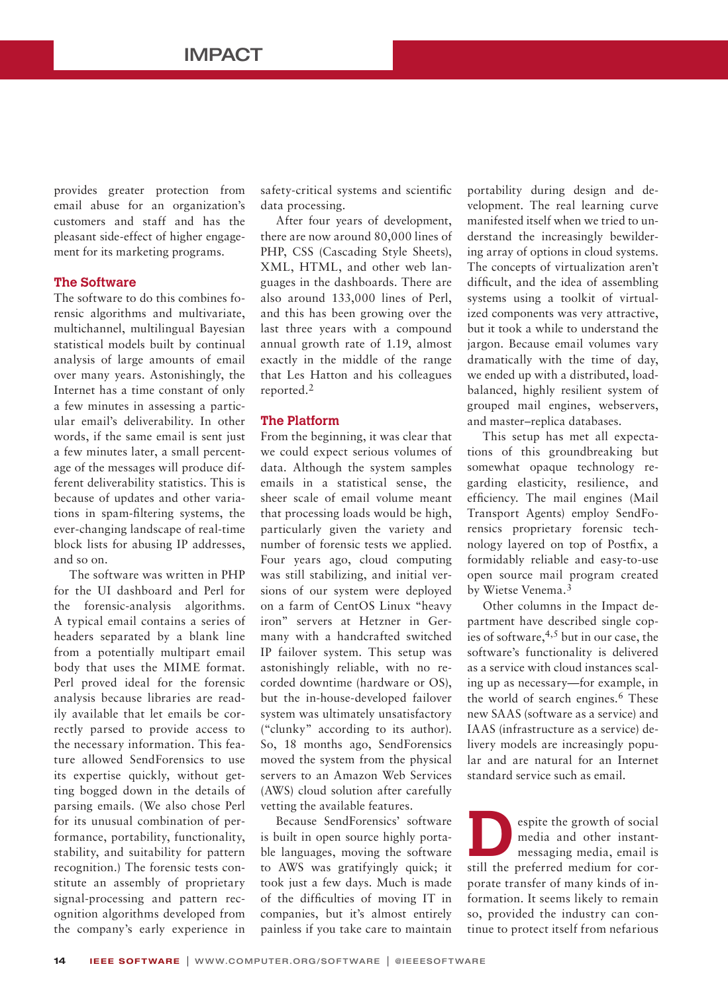provides greater protection from email abuse for an organization's customers and staff and has the pleasant side-effect of higher engagement for its marketing programs.

#### **The Software**

The software to do this combines forensic algorithms and multivariate, multichannel, multilingual Bayesian statistical models built by continual analysis of large amounts of email over many years. Astonishingly, the Internet has a time constant of only a few minutes in assessing a particular email's deliverability. In other words, if the same email is sent just a few minutes later, a small percentage of the messages will produce different deliverability statistics. This is because of updates and other variations in spam-filtering systems, the ever-changing landscape of real-time block lists for abusing IP addresses, and so on.

The software was written in PHP for the UI dashboard and Perl for the forensic-analysis algorithms. A typical email contains a series of headers separated by a blank line from a potentially multipart email body that uses the MIME format. Perl proved ideal for the forensic analysis because libraries are readily available that let emails be correctly parsed to provide access to the necessary information. This feature allowed SendForensics to use its expertise quickly, without getting bogged down in the details of parsing emails. (We also chose Perl for its unusual combination of performance, portability, functionality, stability, and suitability for pattern recognition.) The forensic tests constitute an assembly of proprietary signal-processing and pattern recognition algorithms developed from the company's early experience in

safety-critical systems and scientific data processing.

After four years of development, there are now around 80,000 lines of PHP, CSS (Cascading Style Sheets), XML, HTML, and other web languages in the dashboards. There are also around 133,000 lines of Perl, and this has been growing over the last three years with a compound annual growth rate of 1.19, almost exactly in the middle of the range that Les Hatton and his colleagues reported.<sup>2</sup>

#### **The Platform**

From the beginning, it was clear that we could expect serious volumes of data. Although the system samples emails in a statistical sense, the sheer scale of email volume meant that processing loads would be high, particularly given the variety and number of forensic tests we applied. Four years ago, cloud computing was still stabilizing, and initial versions of our system were deployed on a farm of CentOS Linux "heavy iron" servers at Hetzner in Germany with a handcrafted switched IP failover system. This setup was astonishingly reliable, with no recorded downtime (hardware or OS), but the in-house-developed failover system was ultimately unsatisfactory ("clunky" according to its author). So, 18 months ago, SendForensics moved the system from the physical servers to an Amazon Web Services (AWS) cloud solution after carefully vetting the available features.

Because SendForensics' software is built in open source highly portable languages, moving the software to AWS was gratifyingly quick; it took just a few days. Much is made of the difficulties of moving IT in companies, but it's almost entirely painless if you take care to maintain

portability during design and development. The real learning curve manifested itself when we tried to understand the increasingly bewildering array of options in cloud systems. The concepts of virtualization aren't difficult, and the idea of assembling systems using a toolkit of virtualized components was very attractive, but it took a while to understand the jargon. Because email volumes vary dramatically with the time of day, we ended up with a distributed, loadbalanced, highly resilient system of grouped mail engines, webservers, and master–replica databases.

This setup has met all expectations of this groundbreaking but somewhat opaque technology regarding elasticity, resilience, and efficiency. The mail engines (Mail Transport Agents) employ SendForensics proprietary forensic technology layered on top of Postfix, a formidably reliable and easy-to-use open source mail program created by Wietse Venema.<sup>3</sup>

Other columns in the Impact department have described single copies of software,4,5 but in our case, the software's functionality is delivered as a service with cloud instances scaling up as necessary—for example, in the world of search engines.<sup>6</sup> These new SAAS (software as a service) and IAAS (infrastructure as a service) delivery models are increasingly popular and are natural for an Internet standard service such as email.

**D**espite the growth of social<br>media and other instant-<br>messaging media, email is<br>still the preferred medium for cormedia and other instantmessaging media, email is still the preferred medium for corporate transfer of many kinds of information. It seems likely to remain so, provided the industry can continue to protect itself from nefarious